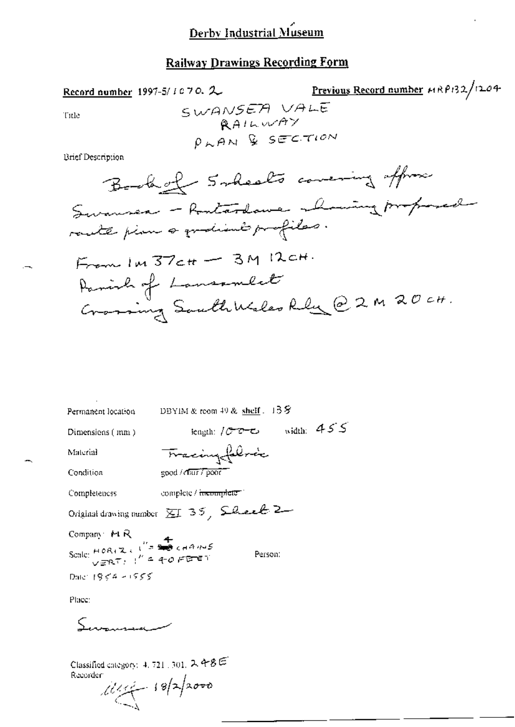#### **Railway Drawings Recording Form**

Previous Record number HRP132/1204 Record number 1997-5/1070.2 SWANSEA VALE Title *<u>RAILWAY</u>*  $\rho_{K}$ AN & SECTION Brief Description Book of Scheels covering offrom Swansen - Rontardame - having proposed rante pine a gradient profiles.  $F_{\text{term}}$  Im  $37$ ctt -  $3M$  I2cH. Parish of Lanssmert Crossing SouthWeles Rely @ 2 M 20 ct.

| Permanent location                                                                                   | DBYIM & reom $49$ & shelf $.13$ $\%$                                                          |
|------------------------------------------------------------------------------------------------------|-----------------------------------------------------------------------------------------------|
| Dimensions $(mn)$                                                                                    | $\begin{bmatrix} \text{length} & \text{length} & \text{length} & \text{length} \end{bmatrix}$ |
| Material                                                                                             | <del>Tracing fal</del> vic                                                                    |
| Condition                                                                                            | $good / diff$ $Topo$                                                                          |
| Completeness                                                                                         | complete / incomplete 1                                                                       |
|                                                                                                      | Original drawing number $\Sigma I$ 35, $\Omega$ ever $2-$                                     |
|                                                                                                      |                                                                                               |
| Company $F \rvert R$<br>Scale: $H \circ R_1 Z \in \int_{-\pi}^{\pi} \frac{4}{2\pi \epsilon}$ channel | Person:                                                                                       |
| Date: $1954 - 1555$                                                                                  |                                                                                               |
| <b>Clickway</b>                                                                                      |                                                                                               |

Place:

مك

Classified category: 4, 721, 301,  $2.48E$ Recorder

 $18/2000$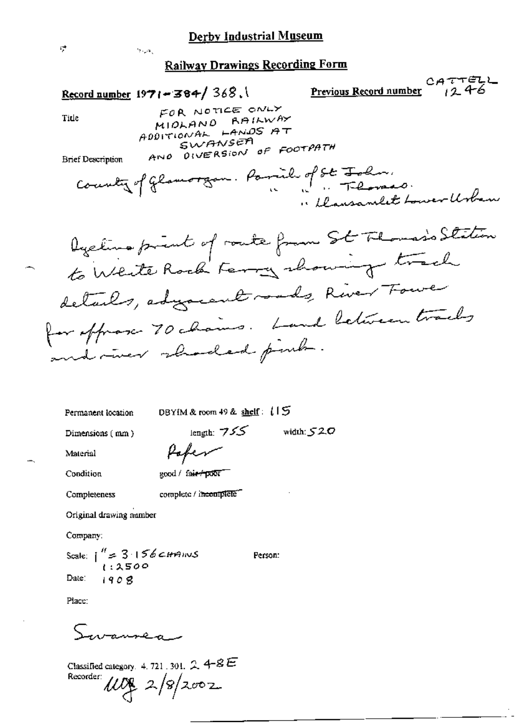Record number 1971-384/368.

 $\sigma_{\rm{max}}$ 

 $CATTELL$ Previous Record number  $124$ 

Title

FOR NOTICE ONLY MIOLAND RAILWAY ADDITIONAL LANDS AT SWANSEA AND DIVERSION OF FOOTPATH

**Brief Description** 

Permanent location

DBYIM & room 49 & shelf:  $15$ 

Dimensions (mm)

length:  $755$  width:  $520$ Paper

Condition

Completeness

Material

complete / incomplete"

Original drawing number

Company:

Scale:  $\int_{1.2500}^{\pi} 3.156$  *CHMINS* 

good / fair+poor

Date:  $1908$ 

Person:

Place:

wannea s

Classified category. 4, 721, 301,  $2.4 - 8E$  $w_{f}$  2/8/2002 Recorder: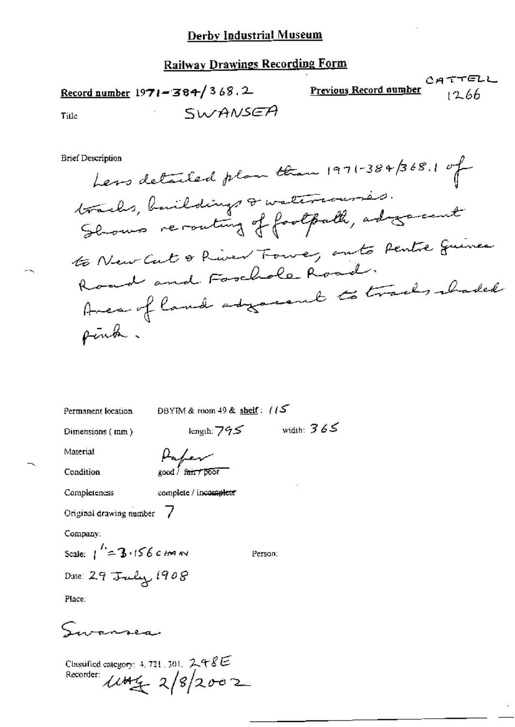|              | <u> Record number</u> 19 <b>71–364/</b> 3 <i>68</i> . 2 | CATTELL<br><b>Previous Record number</b><br>1266 |
|--------------|---------------------------------------------------------|--------------------------------------------------|
| <b>Tifle</b> | SWANSEA                                                 |                                                  |

**Brief Description** 

Less detailed plan than 1971-384/368.1 of tracks, buildings & watercourses. Shows reconting of footpath, adogerent to New Cut & River Tower, onto Pentre Guinea Road and Forchole Road. Avec of land adjourned to tracks abaded pink.

Permanent location

DBYIM & room 49 & shelf:  $/15$ 

Dimensions (mm)

length:  $795$  width:  $365$ 

Condition

Material

Paper good / f<del>air / 86</del>67

Completeness

complete / incomplete

Original drawing number /

Company:

Scale:  $1^{1/2} = 3.156$  c Hm NV Date: 29 July 1908

Person:

Place:

Saransea

Classified category: 4, 721, 301,  $248E$ Recorder:  $\mu$ thg 2/8/2002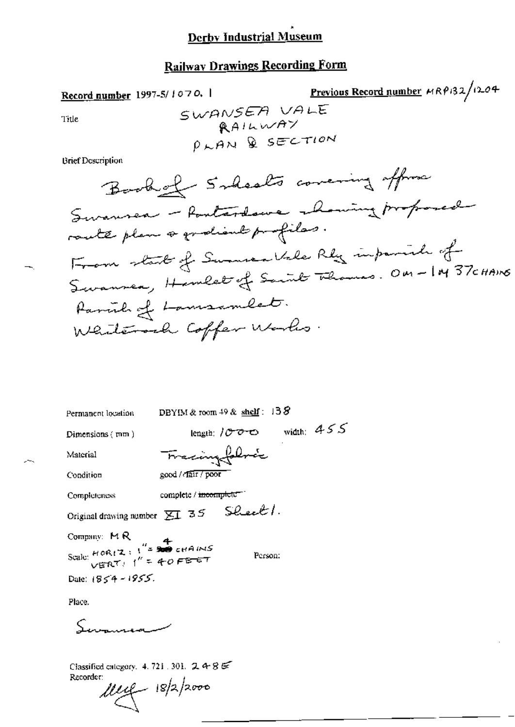### **Railway Drawings Recording Form**

Previous Record number HRP132/1204 Record number 1997-5/1070. SWANSEA VALE Title RAILWAY PLAN & SECTION **Brief Description** Book of Solsals covering offers Swansen - Routerdame - howing proposed route plan a grationt profiles. From start of Summer Vile Rly informate of Swanner, Hamlet of Sannt Thomas. On-IM 37 cHAINS Parcil of Lamsamlet. Whiterock Coffer Works.

| Permanent location                                      | DBYIM & room $49$ & shelf: $138$                     |
|---------------------------------------------------------|------------------------------------------------------|
| Dimensions (mm)                                         | width: $455$<br>length: $/$ $/$ $/$ $/$ $+$ $\infty$ |
| Material                                                | Tracingfolock                                        |
| Condition                                               | good / rair / poor                                   |
| Completeness                                            | complete / <del>incomple</del> te =                  |
|                                                         | Original drawing number $\Sigma$ 35 Sheet 1.         |
| Company: MR<br>$\frac{4}{15}$ and $\frac{4}{15}$ chains |                                                      |

Person:

Scale:  $H$  OR (Z : 1<sup>2</sup> = 200 cHAINS)

Date:  $1854 - 1955$ .

Place.

Summator

Classified category. 4, 721, 301,  $2486$ Recorder:

 $\mu_{\mathcal{L}}$  18/2/2000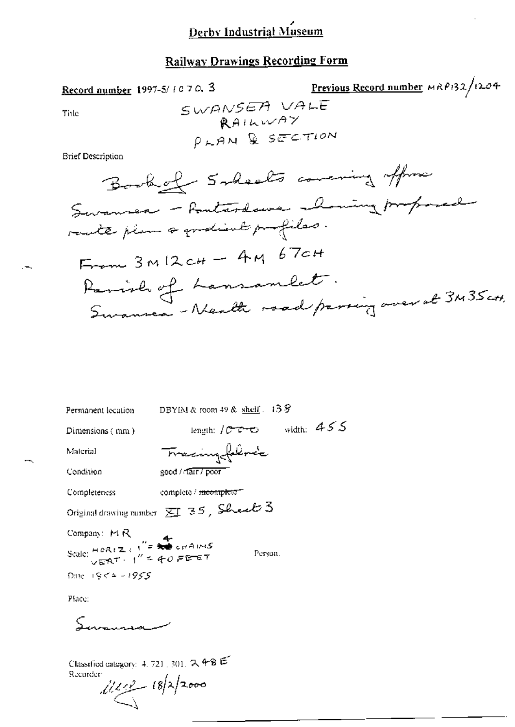### **Railway Drawings Recording Form**

Record number 1997-5/1070, 3

Previous Record number MRP132/1204

 $\mathbf{A}$ 

Title

**Brief Description** 

length:  $10000$  width:  $455$ Dimensions (mm) Tracingfibric Material good / Tarr / poor Condition complete / meomplete = Completeness Original drawing number  $\overline{\text{SI}}$  35, Shealt 3

DBYIM & room 49 & shelf. 13 S

Person.

Company:  $\bowtie R$ Scale:  $H(0R+Z)$ ;  $T = 1$ <br>Scale:  $H(0R+Z)$ ;  $T = 1$ <br>Scale:  $\sqrt{E^2R+T}$ ;  $T = 40$ ,  $F = 67$  $200e + 956 = 1955$ 

Place:

Permanent location

Samman

Classified category: 4, 721, 301,  $2,48 \in$ Recurder:

 $i$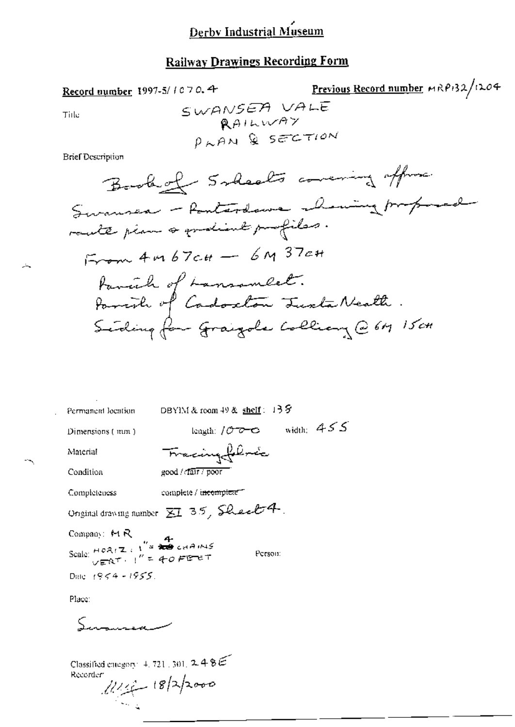# **Railway Drawings Recording Form**

Record number 1997-5/1070.4

Previous Record number MRP132/1204 SWANSEA VALE

Tiile

Ц.

SWHNY  
\nRAIUVAY  
\n
$$
\rho_{KAM}
$$
 Q SETUON

**Brief Description** 

| Permanent location                                                                                                                                                                                                                                                                                                                                                     | DBYIM & room $49$ & shelf: $13$ $9$             |
|------------------------------------------------------------------------------------------------------------------------------------------------------------------------------------------------------------------------------------------------------------------------------------------------------------------------------------------------------------------------|-------------------------------------------------|
| Dimensions (mm)                                                                                                                                                                                                                                                                                                                                                        | length: $10000$ width: $455$                    |
| матегіан                                                                                                                                                                                                                                                                                                                                                               | Fracingfolocie                                  |
| Condition                                                                                                                                                                                                                                                                                                                                                              | good / cfair / poor                             |
| Completeness                                                                                                                                                                                                                                                                                                                                                           | complete / i <del>ncomplete =</del>             |
|                                                                                                                                                                                                                                                                                                                                                                        | Original drawing number $\Sigma I$ 35, Sheet 4. |
|                                                                                                                                                                                                                                                                                                                                                                        |                                                 |
| Company: MR<br>Scale: $H O R$ $\overline{R}$<br>Scale: $H O R$<br>$\overline{R}$ $\overline{R}$ $\overline{R}$ $\overline{R}$ $\overline{R}$ $\overline{R}$ $\overline{R}$ $\overline{R}$ $\overline{R}$ $\overline{R}$ $\overline{R}$ $\overline{R}$ $\overline{R}$ $\overline{R}$ $\overline{R}$ $\overline{R}$ $\overline{R}$ $\overline{R}$ $\overline{R}$ $\over$ | Person:                                         |
| Date: $1955.$                                                                                                                                                                                                                                                                                                                                                          |                                                 |
| Diamon                                                                                                                                                                                                                                                                                                                                                                 |                                                 |

Place:

Summer

Classified energy (4, 721, 301,  $2.48E$ Recorder

1114-18/2/2000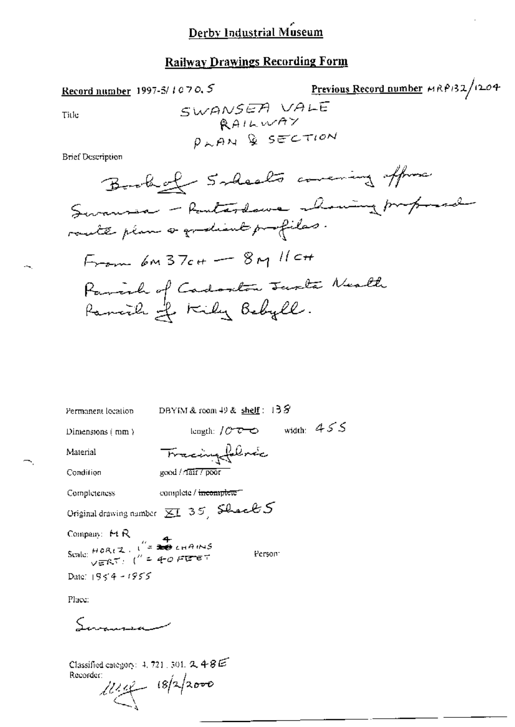# **Railway Drawings Recording Form**

Record number 1997-5/1070, 5

Previous Record number MRP132/1204

Title

**Brief Description** 

| Permanent location                         | DBYIM & room $49$ & shelf : $138$                      |
|--------------------------------------------|--------------------------------------------------------|
| Dimensions $\langle$ mm $\rangle$          | width: $455$<br>length: $10^{\circ}$ $\sim$ $\sim$     |
| Maierial                                   | Tracingfolme                                           |
| Condition                                  | good / Tair / poor                                     |
| Completeness                               | complete / incomplete =                                |
|                                            | Original drawing number $\overline{\Xi}I$ 35 Shock $S$ |
| Company: MR                                |                                                        |
| Scale: $HOR(Z, U^2) = \frac{4}{300}$ chang | Person <sup>-</sup>                                    |
| Date: $1954 - 1955$                        |                                                        |
| $\mathbf{D}$ lazar                         |                                                        |

Place:

Ń,

Summer

Classified category: 4, 721, 501,  $\mathcal{R}$  4-8  $\widetilde{\mathcal{B}}$ Recorder:

1114 18/2/2000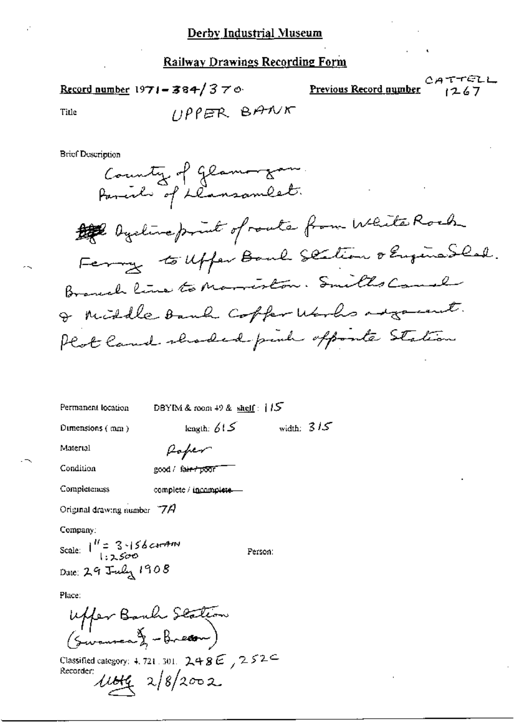CATTELL Record number 1971 - 384/370 Previous Record number  $1267$  $UPPER$  BANK Title

**Brief Description** 



| Permanent location  | DBYIM & room $+9$ & shelf: $1/5$ |              |  |
|---------------------|----------------------------------|--------------|--|
| Dimensions ( mm ) . | length: $615$                    | width: $315$ |  |

Rober

Material

Condition

good / f<del>air / poo</del>r

Completeness complete / incomplete-

Original drawing number  $77$ A

Company:

Scale:  $1^H = 3.156$  current Date: 29 July 1908

Person:

Place:

Uffer Bouch Station

Classified category: 4, 721, 301,  $248E$ ,  $252C$ Recorder 1104 2/8/2002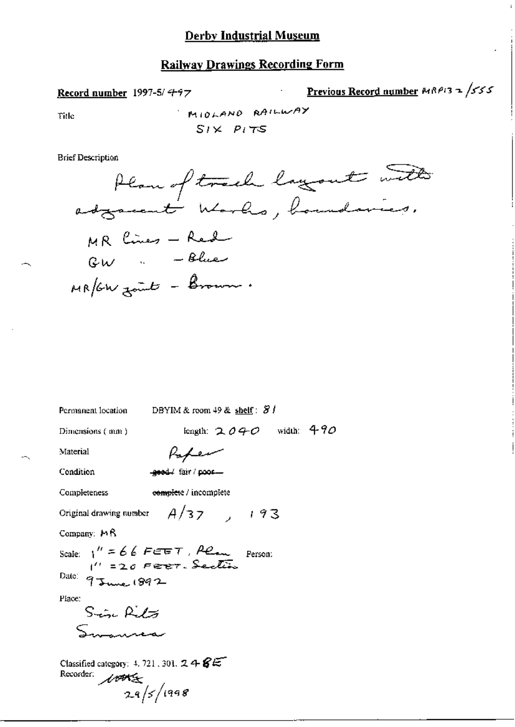#### **Railway Drawings Recording Form**

Record number 1997-5/ $497$ 

Previous Record number MRP13 2 /555

Title

MIOLAND RAILWAY  $SIX$   $PITS$ 

**Brief Description** 



| Permanent location                                                       | DBYIM & room 49 & shelf: $81$        |
|--------------------------------------------------------------------------|--------------------------------------|
| Dimensions (mm)                                                          | length: $2040$ width: $490$          |
| Material                                                                 | Kapen                                |
| Condition                                                                | geed/ fair/poor-                     |
| <b>Completeness</b>                                                      | e <del>omplet</del> e / incomplete   |
|                                                                          | Original drawing number $A/37$ , 193 |
| Company: $M\beta$                                                        |                                      |
| Scale: $1'' = 66$ FEET, Perm Person:<br>$1'' = 20$ Ferer. Section        |                                      |
| Date: 9 June 1892                                                        |                                      |
| Place:                                                                   |                                      |
| Since Rito                                                               |                                      |
|                                                                          |                                      |
| Classified category: 4, 721, 301, $2 + 8E$<br>Recorder: 100<br>29/5/1998 |                                      |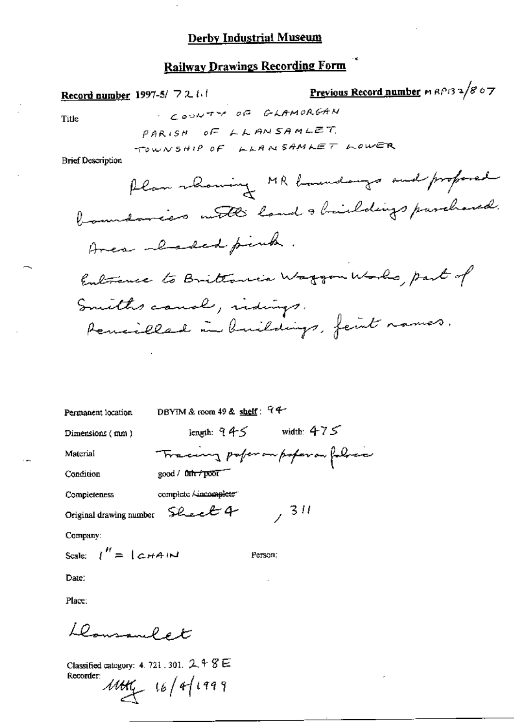Record number 1997-5/ 7211

Title

COUNTY OF GLAMORGAN PARISH OF LLANSAMLET. TOWNSHIP OF LLANSAMLET LOWER

**Brief Description** 

Previous Record number m RP132/807

DBYIM & room 49 & shelf:  $94$ Permanent location

Dimensions (mm)

length:  $945$  width:  $475$ 

Material Condition

Completeness

Tracing pofer on poperor follow  $good /$   $int / p\overline{or}$ complete / incomplete"

Original drawing number Sheet 4

Company:

Scale:  $\int'' = \int c H A W$ 

Person:

 $, 311$ 

Date:

Place:

Llowsanlet

Classified category: 4, 721, 301, 2, 4 8 E Recorder:

 $1041 - 16/4/1999$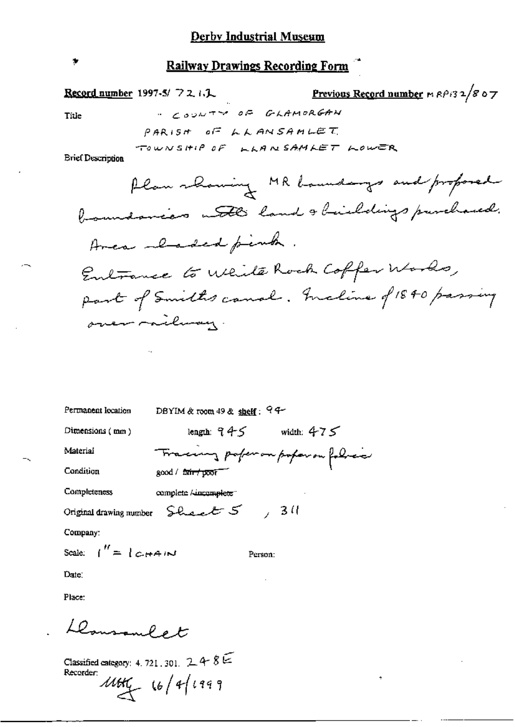Record number 1997-5/ 7 2, 1.1

Previous Record number  $nR\beta/32/867$ 

Title

 $\bullet$ 

" COUNTY OF GLAMORGAN PARISH OF LLANSAMLET TOWNSHIP OF LLANSAMLET LOWER

**Brief Description** 

| Permanent location              | DBYIM & room $49$ & shelf: $94-$                                               |                                  |
|---------------------------------|--------------------------------------------------------------------------------|----------------------------------|
| Dimensions $(mn)$               | lenguh: ?4S                                                                    | width: $475$                     |
| Material                        |                                                                                | Tracing poper on poper on folice |
| Condition                       | good / f <del>air/poor</del>                                                   |                                  |
| Completeness                    | complete / dacomplete"                                                         |                                  |
|                                 | Original drawing number $\mathcal{L}_{\text{back}}$ $\mathcal{L}_{\text{max}}$ | 730                              |
| Company:                        |                                                                                |                                  |
| Scale: $1'' = 1 \text{ cm} + 1$ |                                                                                | Person:                          |

Date:

Place:

Llousanlet

Classified category: 4, 721, 301,  $248E$ Recorder:<br> $1141$   $16/41999$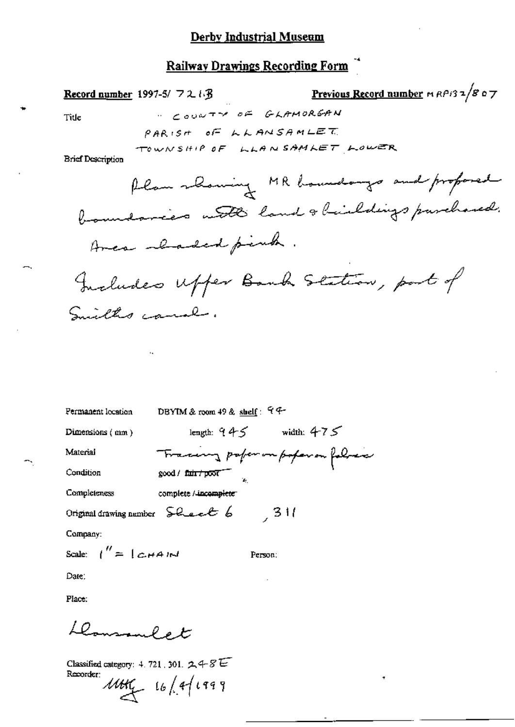Record number 1997-5/ $72.13$ 

<u>Previous Record number</u>  $m$   $R$  $P$ *i*3 $\frac{1}{8}$  o  $\frac{1}{7}$ 

Title

**COUNTY OF GLAMORGAN** PARISH OF LLANSAMLET TOWNSHIP OF LLANSAMLET LOWER

**Brief Description** 

DBYIM & room 49 & shelf: 99-Permanent location

good / fair / poor

Dimensions (mm)

length:  $945$  width:  $475$ 

Tracing poper in poper in foliar

- 311

Material Condition

Completeness complete / incomplete

Original drawing number Sheet 6

Company:

Scale:  $\int'' = \int c H A M$ 

Person:

Date:

Place:

Domment et

Classified category: 4.721, 301.  $248E$ Recorder:

 $1441 - 16/41999$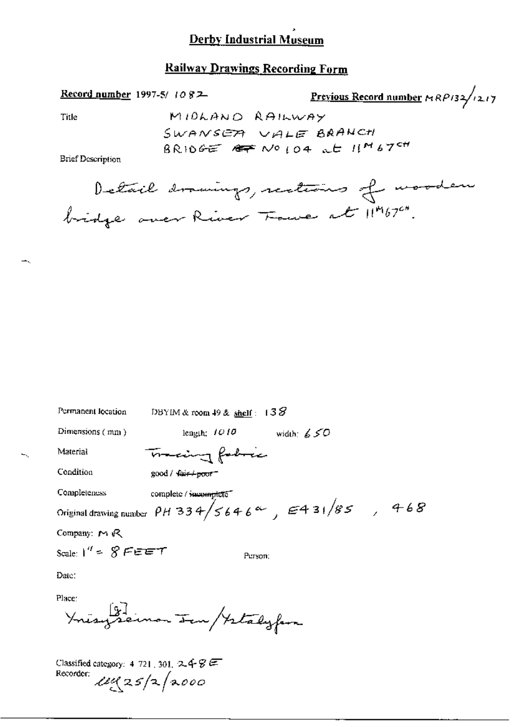#### **Railway Drawings Recording Form**

| <b>Record number</b> 1997-5/ 1082 |                     | Previous Record number $\kappa R$ P132/1217 |
|-----------------------------------|---------------------|---------------------------------------------|
| Title                             | MIDLAND RAILWAY     |                                             |
|                                   | SWANSER VALE BRANCH |                                             |
| <b>Brief Description</b>          |                     | $BRI0GE$ $AFNOIO4$ at $I1M67$ <sup>ch</sup> |
|                                   |                     |                                             |

Detail drawings, restains of wooden

| Permanent location                                             | DBYIM & room 49 & shelf: $138$                                        |
|----------------------------------------------------------------|-----------------------------------------------------------------------|
| Dimensions $(mn)$                                              | length: $1010$ width: $650$                                           |
| Material                                                       | maing fabric                                                          |
| Condition                                                      | $200d / \sqrt{44t + 600t}$                                            |
| Completeness                                                   | complete / incomplete                                                 |
|                                                                | Original drawing number $\rho$ H 334/5646 <sup>a</sup> , E431/85, 468 |
| Company: $M \mathbb{R}$                                        |                                                                       |
| Scale: $1'' = 8$ FEET                                          | Person:                                                               |
| Date:                                                          |                                                                       |
| Place:                                                         | Ynisyseinon Ien / Istaly fara                                         |
| Classified category: 4-721, 301, $2.48 \div 7.72$<br>Recorder: | $\mu$ uz $25/2/2000$                                                  |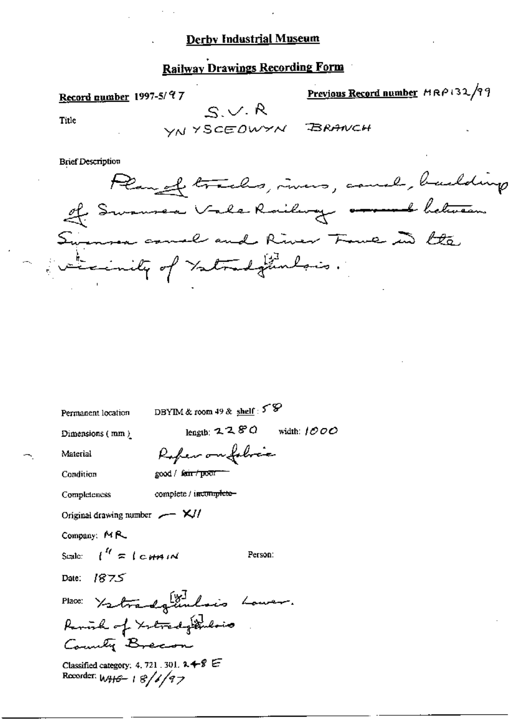## **Railway Drawings Recording Form**

Previous Record number MRP132/99 Record number 1997-5/97  $S.V.R$ Title VNYSCEOWYN BRANCH **Brief Description** Plan of tracks, incres, cause, building

If Swamsen Vale Roilway <del>ersemb</del> between wenner canal and River Fave in the Evenicate of Yatradgementaris.

Permanent location

DBYIM & room 49 & shelf:  $58$ 

Rober on folice

Dimensions (mm)

length:  $2280$  width:  $1000$ 

Person:

Material Condition

good / sair / poor

Completeness

complete / incomplete-

Original drawing number  $\sim$   $\sim$  X//

Company: MR

Scale:  $\int_0^{t_f}$   $\approx$   $\int$   $\epsilon$   $\theta$   $\theta$   $\theta$   $\theta$ 

Date: 1875

Place: Yatradgembois Lower. Remiral of Xetrady Dulois County Breeon

Classified category: 4, 721 . 301.  $2 + 8 =$ Recorder:  $W_HG - 18/6/97$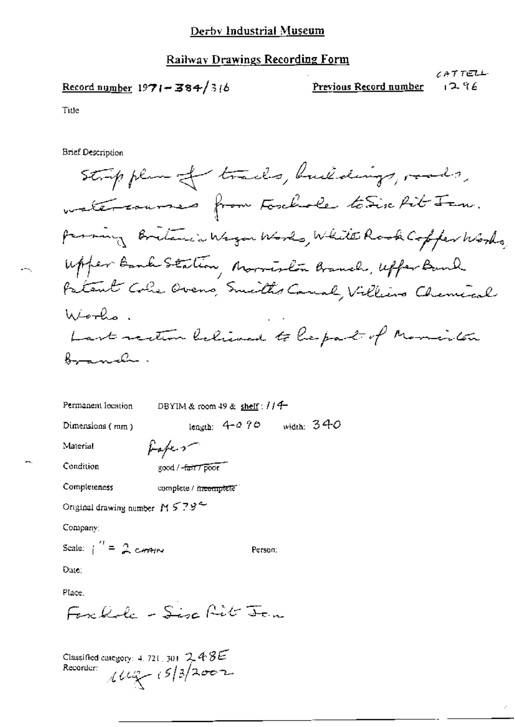#### Railway Drawings Recording Form

$$
\underline{\text{Record number}} 1971 - 384 / 316
$$

CATTELL  $296$ 

Title

**Brief Description** 

Person:

Permanent location DBYIM & room 49 & shelf : //4length:  $4-0.70$  width:  $340$ Dimensions  $(mn)$ fafer-Material

Condition

good / -fair 7 poor

Completeness complete / in<del>complete</del>

Original drawing number  $M \lesssim 78$ <sup>2</sup>

Company:

Scale:  $\frac{1}{1}$  = 2 cannot

Date:

Place.

Forchola - Sisa Rit Jan

Classified category: 4, 721, 301,  $2.48E$ Recorder:  $1147 - 15/3/2002$